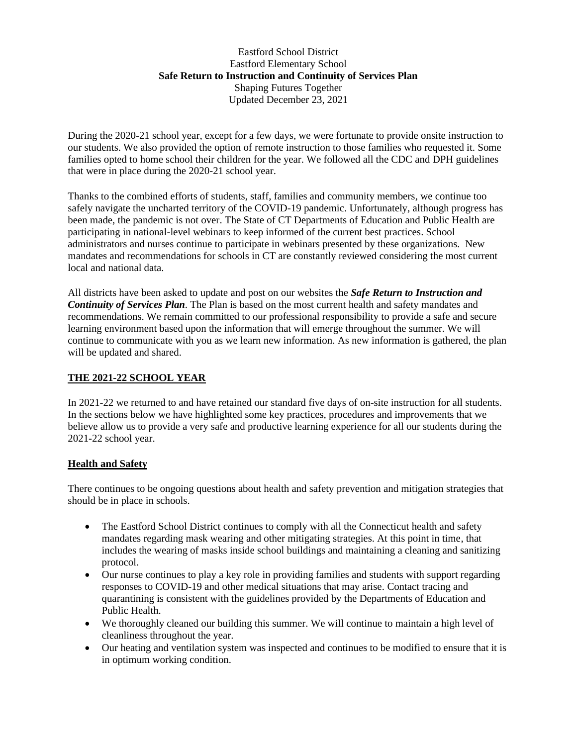### Eastford School District Eastford Elementary School **Safe Return to Instruction and Continuity of Services Plan** Shaping Futures Together Updated December 23, 2021

During the 2020-21 school year, except for a few days, we were fortunate to provide onsite instruction to our students. We also provided the option of remote instruction to those families who requested it. Some families opted to home school their children for the year. We followed all the CDC and DPH guidelines that were in place during the 2020-21 school year.

Thanks to the combined efforts of students, staff, families and community members, we continue too safely navigate the uncharted territory of the COVID-19 pandemic. Unfortunately, although progress has been made, the pandemic is not over. The State of CT Departments of Education and Public Health are participating in national-level webinars to keep informed of the current best practices. School administrators and nurses continue to participate in webinars presented by these organizations. New mandates and recommendations for schools in CT are constantly reviewed considering the most current local and national data.

All districts have been asked to update and post on our websites the *Safe Return to Instruction and Continuity of Services Plan*. The Plan is based on the most current health and safety mandates and recommendations. We remain committed to our professional responsibility to provide a safe and secure learning environment based upon the information that will emerge throughout the summer. We will continue to communicate with you as we learn new information. As new information is gathered, the plan will be updated and shared.

### **THE 2021-22 SCHOOL YEAR**

In 2021-22 we returned to and have retained our standard five days of on-site instruction for all students. In the sections below we have highlighted some key practices, procedures and improvements that we believe allow us to provide a very safe and productive learning experience for all our students during the 2021-22 school year.

# **Health and Safety**

There continues to be ongoing questions about health and safety prevention and mitigation strategies that should be in place in schools.

- The Eastford School District continues to comply with all the Connecticut health and safety mandates regarding mask wearing and other mitigating strategies. At this point in time, that includes the wearing of masks inside school buildings and maintaining a cleaning and sanitizing protocol.
- Our nurse continues to play a key role in providing families and students with support regarding responses to COVID-19 and other medical situations that may arise. Contact tracing and quarantining is consistent with the guidelines provided by the Departments of Education and Public Health.
- We thoroughly cleaned our building this summer. We will continue to maintain a high level of cleanliness throughout the year.
- Our heating and ventilation system was inspected and continues to be modified to ensure that it is in optimum working condition.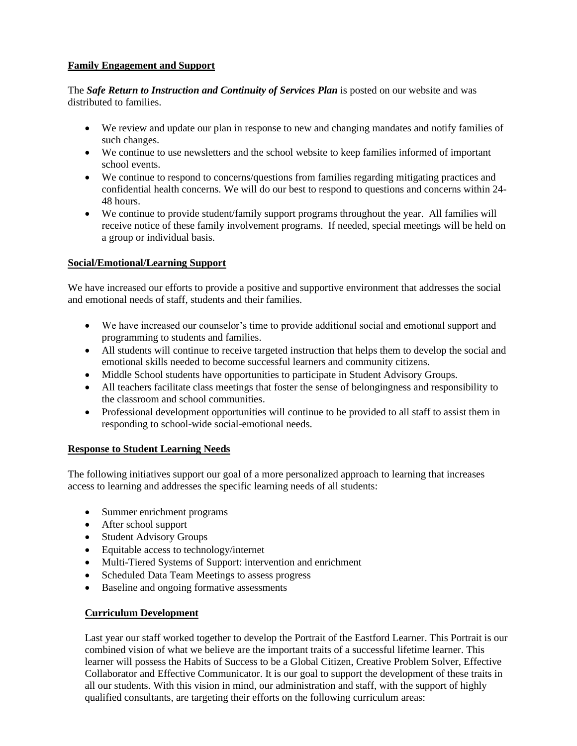# **Family Engagement and Support**

The *Safe Return to Instruction and Continuity of Services Plan* is posted on our website and was distributed to families.

- We review and update our plan in response to new and changing mandates and notify families of such changes.
- We continue to use newsletters and the school website to keep families informed of important school events.
- We continue to respond to concerns/questions from families regarding mitigating practices and confidential health concerns. We will do our best to respond to questions and concerns within 24- 48 hours.
- We continue to provide student/family support programs throughout the year. All families will receive notice of these family involvement programs. If needed, special meetings will be held on a group or individual basis.

#### **Social/Emotional/Learning Support**

We have increased our efforts to provide a positive and supportive environment that addresses the social and emotional needs of staff, students and their families.

- We have increased our counselor's time to provide additional social and emotional support and programming to students and families.
- All students will continue to receive targeted instruction that helps them to develop the social and emotional skills needed to become successful learners and community citizens.
- Middle School students have opportunities to participate in Student Advisory Groups.
- All teachers facilitate class meetings that foster the sense of belongingness and responsibility to the classroom and school communities.
- Professional development opportunities will continue to be provided to all staff to assist them in responding to school-wide social-emotional needs.

#### **Response to Student Learning Needs**

The following initiatives support our goal of a more personalized approach to learning that increases access to learning and addresses the specific learning needs of all students:

- Summer enrichment programs
- After school support
- Student Advisory Groups
- Equitable access to technology/internet
- Multi-Tiered Systems of Support: intervention and enrichment
- Scheduled Data Team Meetings to assess progress
- Baseline and ongoing formative assessments

#### **Curriculum Development**

Last year our staff worked together to develop the Portrait of the Eastford Learner. This Portrait is our combined vision of what we believe are the important traits of a successful lifetime learner. This learner will possess the Habits of Success to be a Global Citizen, Creative Problem Solver, Effective Collaborator and Effective Communicator. It is our goal to support the development of these traits in all our students. With this vision in mind, our administration and staff, with the support of highly qualified consultants, are targeting their efforts on the following curriculum areas: